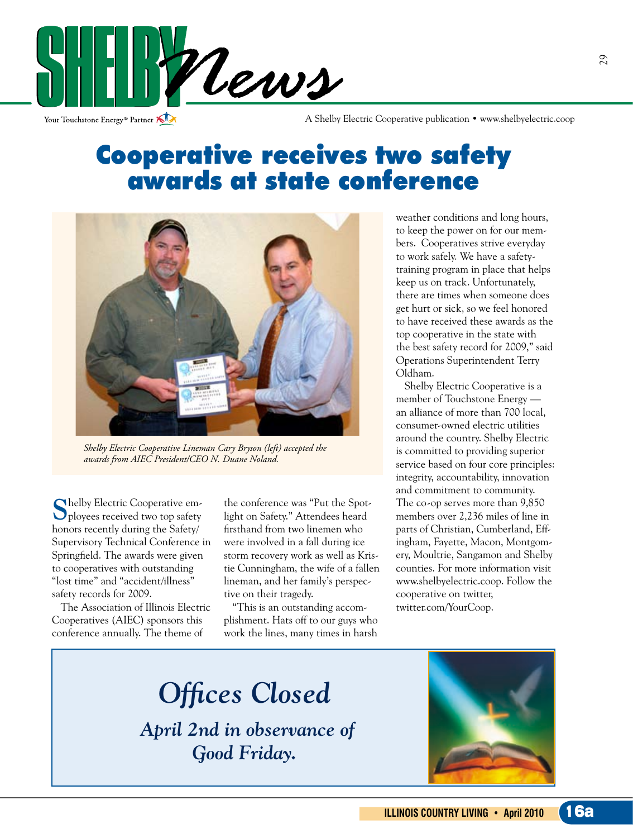

Your Touchstone Energy<sup>®</sup> Partner

A Shelby Electric Cooperative publication • www.shelbyelectric.coop

## Cooperative receives two safety awards at state conference



*Shelby Electric Cooperative Lineman Cary Bryson (left) accepted the awards from AIEC President/CEO N. Duane Noland.*

**S**helby Electric Cooperative em-ployees received two top safety honors recently during the Safety/ Supervisory Technical Conference in Springfield. The awards were given to cooperatives with outstanding "lost time" and "accident/illness" safety records for 2009.

 The Association of Illinois Electric Cooperatives (AIEC) sponsors this conference annually. The theme of

the conference was "Put the Spotlight on Safety." Attendees heard firsthand from two linemen who were involved in a fall during ice storm recovery work as well as Kristie Cunningham, the wife of a fallen lineman, and her family's perspective on their tragedy.

 "This is an outstanding accomplishment. Hats off to our guys who work the lines, many times in harsh

weather conditions and long hours, to keep the power on for our members. Cooperatives strive everyday to work safely. We have a safetytraining program in place that helps keep us on track. Unfortunately, there are times when someone does get hurt or sick, so we feel honored to have received these awards as the top cooperative in the state with the best safety record for 2009," said Operations Superintendent Terry Oldham.

 Shelby Electric Cooperative is a member of Touchstone Energy an alliance of more than 700 local, consumer-owned electric utilities around the country. Shelby Electric is committed to providing superior service based on four core principles: integrity, accountability, innovation and commitment to community. The co-op serves more than 9,850 members over 2,236 miles of line in parts of Christian, Cumberland, Effingham, Fayette, Macon, Montgomery, Moultrie, Sangamon and Shelby counties. For more information visit www.shelbyelectric.coop. Follow the cooperative on twitter, twitter.com/YourCoop.

*Offices Closed*

*April 2nd in observance of Good Friday.*

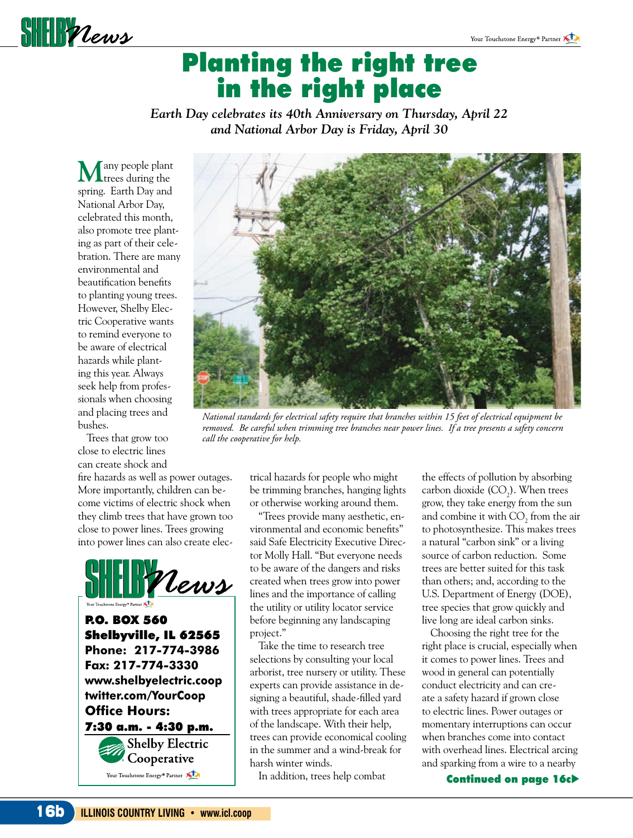

## Planting the right tree in the right place

*Earth Day celebrates its 40th Anniversary on Thursday, April 22 and National Arbor Day is Friday, April 30*

**M**any people plant **L**trees during the spring. Earth Day and National Arbor Day, celebrated this month, also promote tree planting as part of their celebration. There are many environmental and beautification benefits to planting young trees. However, Shelby Electric Cooperative wants to remind everyone to be aware of electrical hazards while planting this year. Always seek help from professionals when choosing and placing trees and bushes.

 Trees that grow too close to electric lines can create shock and

fire hazards as well as power outages. More importantly, children can become victims of electric shock when they climb trees that have grown too close to power lines. Trees growing into power lines can also create elec-





*National standards for electrical safety require that branches within 15 feet of electrical equipment be removed. Be careful when trimming tree branches near power lines. If a tree presents a safety concern call the cooperative for help.*

trical hazards for people who might be trimming branches, hanging lights or otherwise working around them.

 "Trees provide many aesthetic, environmental and economic benefits" said Safe Electricity Executive Director Molly Hall. "But everyone needs to be aware of the dangers and risks created when trees grow into power lines and the importance of calling the utility or utility locator service before beginning any landscaping project."

 Take the time to research tree selections by consulting your local arborist, tree nursery or utility. These experts can provide assistance in designing a beautiful, shade-filled yard with trees appropriate for each area of the landscape. With their help, trees can provide economical cooling in the summer and a wind-break for harsh winter winds.

In addition, trees help combat

the effects of pollution by absorbing carbon dioxide  $(CO_2)$ . When trees grow, they take energy from the sun and combine it with  $CO_2$  from the air to photosynthesize. This makes trees a natural "carbon sink" or a living source of carbon reduction. Some trees are better suited for this task than others; and, according to the U.S. Department of Energy (DOE), tree species that grow quickly and live long are ideal carbon sinks.

 Choosing the right tree for the right place is crucial, especially when it comes to power lines. Trees and wood in general can potentially conduct electricity and can create a safety hazard if grown close to electric lines. Power outages or momentary interruptions can occur when branches come into contact with overhead lines. Electrical arcing and sparking from a wire to a nearby

Continued on page 16c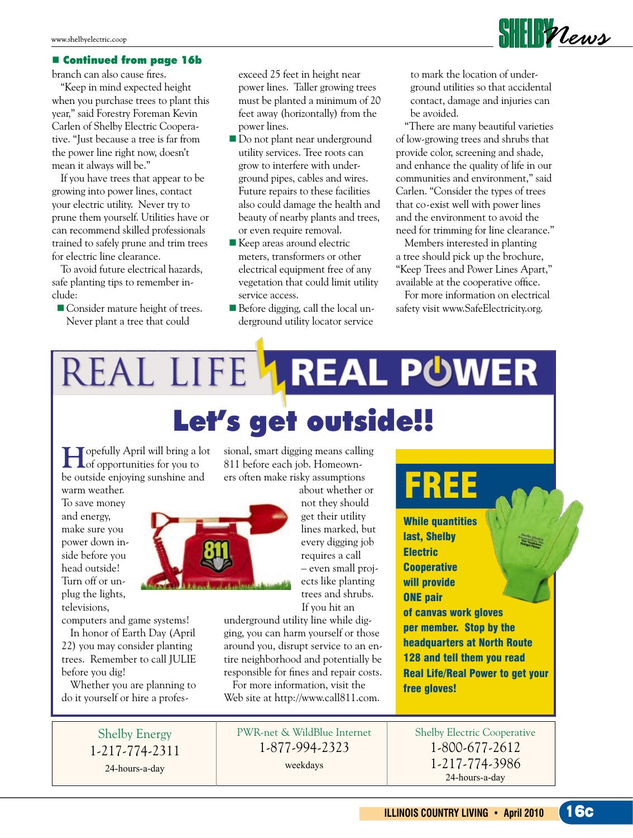#### **E** Continued from page 16b

branch can also cause fires.

 "Keep in mind expected height when you purchase trees to plant this year," said Forestry Foreman Kevin Carlen of Shelby Electric Cooperative. "Just because a tree is far from the power line right now, doesn't mean it always will be."

 If you have trees that appear to be growing into power lines, contact your electric utility. Never try to prune them yourself. Utilities have or can recommend skilled professionals trained to safely prune and trim trees for electric line clearance.

 To avoid future electrical hazards, safe planting tips to remember include:

Consider mature height of trees. Never plant a tree that could

exceed 25 feet in height near power lines. Taller growing trees must be planted a minimum of 20 feet away (horizontally) from the power lines.

- Do not plant near underground utility services. Tree roots can grow to interfere with underground pipes, cables and wires. Future repairs to these facilities also could damage the health and beauty of nearby plants and trees, or even require removal.
- Keep areas around electric meters, transformers or other electrical equipment free of any vegetation that could limit utility service access.
- Before digging, call the local underground utility locator service

to mark the location of underground utilities so that accidental contact, damage and injuries can be avoided.

 "There are many beautiful varieties of low-growing trees and shrubs that provide color, screening and shade, and enhance the quality of life in our communities and environment," said Carlen. "Consider the types of trees that co-exist well with power lines and the environment to avoid the need for trimming for line clearance."

 Members interested in planting a tree should pick up the brochure, "Keep Trees and Power Lines Apart," available at the cooperative office.

 For more information on electrical safety visit www.SafeElectricity.org.

# REAL LIFE **1 REAL POWER** Let's get outside!!

**H**opefully April will bring a lot of opportunities for you to be outside enjoying sunshine and

warm weather. To save money and energy, make sure you power down inside before you head outside! Turn off or unplug the lights, televisions,

computers and game systems!

 In honor of Earth Day (April 22) you may consider planting trees. Remember to call JULIE before you dig!

 Whether you are planning to do it yourself or hire a profes-

> Shelby Energy 1-217-774-2311 24-hours-a-day

sional, smart digging means calling 811 before each job. Homeowners often make risky assumptions

> about whether or not they should get their utility lines marked, but every digging job requires a call – even small projects like planting trees and shrubs. If you hit an

underground utility line while digging, you can harm yourself or those around you, disrupt service to an entire neighborhood and potentially be responsible for fines and repair costs.

 For more information, visit the Web site at http://www.call811.com.

PWR-net & WildBlue Internet 1-877-994-2323 weekdays

While quantities last, Shelby **Electric Cooperative** will provide ONE pair of canvas work gloves per member. Stop by the headquarters at North Route 128 and tell them you read Real Life/Real Power to get your free gloves!

RE

### Shelby Electric Cooperative 1-800-677-2612 1-217-774-3986 24-hours-a-day



**ILLINOIS COUNTRY LIVING • April 2010**  16c